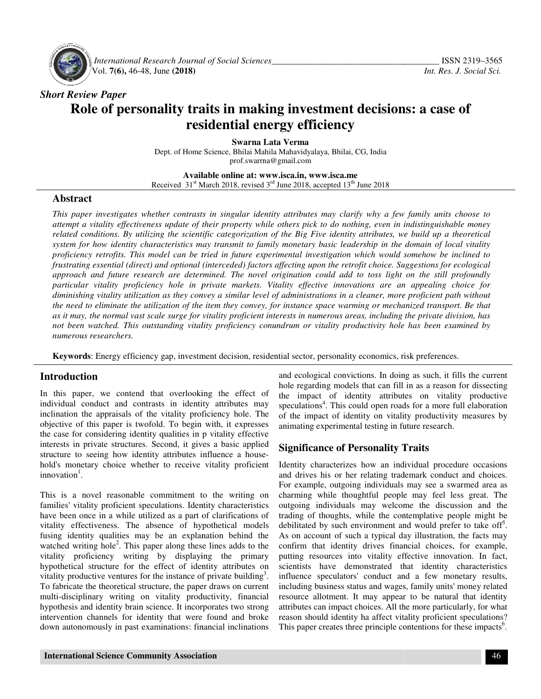

 *International Research Journal Journal of Social Sciences\_\_\_\_\_\_\_\_\_\_\_\_\_\_\_\_\_\_\_\_\_\_\_\_\_\_\_\_\_\_\_\_\_\_\_* Vol. **7(6),** 46-48, June **(2018)**

# *Short Review Paper*  **Role of personality traits in making investment decisions: a case of <br>residential energy efficiency residential energy efficiency**

Dept. of Home Science, Bhilai Mahila Mahavidyalaya, Bhilai, CG, India **Swarna Lata Verma**  prof.swarrna@gmail.com

**Available Available online at: www.isca.in, www.isca.me**  Received  $31<sup>st</sup>$  March 2018, revised  $3<sup>rd</sup>$  June 2018, accepted  $13<sup>th</sup>$  June 2018

#### **Abstract**

*This paper investigates whether contrasts in singular identity attributes may clarify why a few family units choose to attempt a vitality effectiveness update of their property while others pick to do nothing, even in indistinguishable money related conditions. By utilizing the scientific categorization of the Big Five identity attributes, we build up a theoretical system for how identity characteristics may transmit to family monetary basic leadership in the domain of local vitality proficiency retrofits. This model can be tried in future experimental investigation which would somehow be inclined to*  frustrating essential (direct) and optional (interceded) factors affecting upon the retrofit choice. Suggestions for ecological *approach and future research are determined. The novel origination could add to toss light on the still profoundly particular vitality proficiency hole in private markets.* diminishing vitality utilization as they convey a similar level of administrations in a cleaner, more proficient path without *the need to eliminate the utilization of the item they convey, for instance space warming or mechanized transport. Be that*  particular vitality proficiency hole in private markets. Vitality effective innovations are an appealing choice for<br>diminishing vitality utilization as they convey a similar level of administrations in a cleaner, more prof *not been watched. This outstanding vitality proficiency conundrum or vitality productivity hole has been examined by numerous researchers.*  investigates whether contrasts in singular identity attributes may clarify why a few family units choose to<br>itality effectiveness update of their property while others pick to do nothing, even in indistinguishable money<br>di

Keywords: Energy efficiency gap, investment decision, residential sector, personality economics, risk preferences.

#### **Introduction**

In this paper, we contend that overlooking the effect of In this paper, we contend that overlooking the effect of individual conduct and contrasts in identity attributes may inclination the appraisals of the vitality proficiency hole. The objective of this paper is twofold. To begin with, it expresses the case for considering identity qualities in p vitality effective interests in private structures. Second, it gives a basic applied structure to seeing how identity attributes influence a household's monetary choice whether to receive vitality proficient innovation<sup>1</sup>. inclination the appraisals of the vitality proficiency hole. The objective of this paper is twofold. To begin with, it expresses the case for considering identity qualities in p vitality effective interests in private stru

This is a novel reasonable commitment to the writing on families' vitality proficient speculations. Identity characteristics have been once in a while utilized as a part of clarifications of vitality effectiveness. The absence of hypothetical models fusing identity qualities may be an explanation behind the have been once in a while utilized as a part of clarifications of vitality effectiveness. The absence of hypothetical models fusing identity qualities may be an explanation behind the watched writing hole<sup>2</sup>. This paper al vitality proficiency writing by displaying the primary hypothetical structure for the effect of identity attributes on vitality proficiency writing by displaying the primary hypothetical structure for the effect of identity attributes on vitality productive ventures for the instance of private building<sup>3</sup>. To fabricate the theoretical structure, the paper draws on current multi-disciplinary writing on vitality productivity, financial hypothesis and identity brain science. It incorporates two strong intervention channels for identity that were found and broke down autonomously in past examinations: financial inclination monetary choice whether to receive vitality proficient<br>ation<sup>1</sup>.<br>is a novel reasonable commitment to the writing on<br>es' vitality proficient speculations. Identity characteristics disciplinary writing on vitality productivity, financial<br>nesis and identity brain science. It incorporates two strong<br>ention channels for identity that were found and broke<br>autonomously in past examinations: financial incl

and ecological convictions. In doing as such, it fills the current hole regarding models that can fill in as a reason for dissecting the impact of identity attributes on vitality productive the specifical sector, personality economics, risk preferences.<br>
and ecological convictions. In doing as such, it fills the current<br>
hole regarding models that can fill in as a reason for dissecting<br>
the impact of identity of the impact of identity on vitality productivity measures by animating experimental testing in future research. animating experimental testing in future research.

#### **Significance of Personality Traits**

Identity characterizes how an individual procedure occasions Identity characterizes how an individual procedure occasions and drives his or her relating trademark conduct and choices. For example, outgoing individuals may see a swarmed area as charming while thoughtful people may feel less great. The outgoing individuals may welcome the discussion and the trading of thoughts, while the contemplative people might be debilitated by such environment and would prefer to take off . As on account of such a typical day illustration, the facts may confirm that identity drives financial choices, for example, putting resources into vitality effective innovation. In fact, scientists have demonstrated that identity characteristics influence speculators' conduct and a few monetary results, including business status and wages, family units' money related resource allotment. It may appear to be natural that identity attributes can impact choices. All the more particularly, for what reason should identity ha affect vitality proficient speculations? This paper creates three principle contentions for these impacts<sup>6</sup>. For example, outgoing individuals may see a swarmed area as charming while thoughtful people may feel less great. The outgoing individuals may welcome the discussion and the trading of thoughts, while the contemplative peo In account of such a typical day illustration, the facts may<br>rm that identity drives financial choices, for example<br>ag resources into vitality effective innovation. In fact<br>tists have demonstrated that identity characteris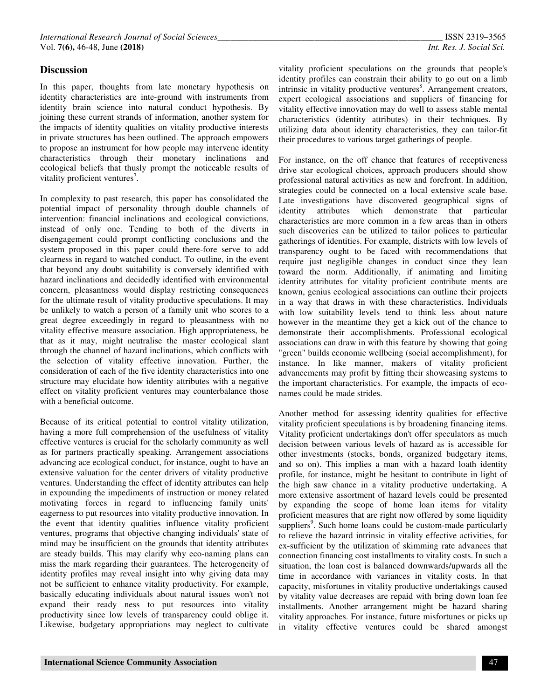#### **Discussion**

In this paper, thoughts from late monetary hypothesis on identity characteristics are inte-ground with instruments from identity brain science into natural conduct hypothesis. By joining these current strands of information, another system for the impacts of identity qualities on vitality productive interests in private structures has been outlined. The approach empowers to propose an instrument for how people may intervene identity characteristics through their monetary inclinations and ecological beliefs that thusly prompt the noticeable results of vitality proficient ventures<sup>7</sup>.

In complexity to past research, this paper has consolidated the potential impact of personality through double channels of intervention: financial inclinations and ecological convictions, instead of only one. Tending to both of the diverts in disengagement could prompt conflicting conclusions and the system proposed in this paper could there-fore serve to add clearness in regard to watched conduct. To outline, in the event that beyond any doubt suitability is conversely identified with hazard inclinations and decidedly identified with environmental concern, pleasantness would display restricting consequences for the ultimate result of vitality productive speculations. It may be unlikely to watch a person of a family unit who scores to a great degree exceedingly in regard to pleasantness with no vitality effective measure association. High appropriateness, be that as it may, might neutralise the master ecological slant through the channel of hazard inclinations, which conflicts with the selection of vitality effective innovation. Further, the consideration of each of the five identity characteristics into one structure may elucidate how identity attributes with a negative effect on vitality proficient ventures may counterbalance those with a beneficial outcome.

Because of its critical potential to control vitality utilization, having a more full comprehension of the usefulness of vitality effective ventures is crucial for the scholarly community as well as for partners practically speaking. Arrangement associations advancing ace ecological conduct, for instance, ought to have an extensive valuation for the center drivers of vitality productive ventures. Understanding the effect of identity attributes can help in expounding the impediments of instruction or money related motivating forces in regard to influencing family units' eagerness to put resources into vitality productive innovation. In the event that identity qualities influence vitality proficient ventures, programs that objective changing individuals' state of mind may be insufficient on the grounds that identity attributes are steady builds. This may clarify why eco-naming plans can miss the mark regarding their guarantees. The heterogeneity of identity profiles may reveal insight into why giving data may not be sufficient to enhance vitality productivity. For example, basically educating individuals about natural issues won't not expand their ready ness to put resources into vitality productivity since low levels of transparency could oblige it. Likewise, budgetary appropriations may neglect to cultivate

vitality proficient speculations on the grounds that people's identity profiles can constrain their ability to go out on a limb intrinsic in vitality productive ventures<sup>8</sup>. Arrangement creators, expert ecological associations and suppliers of financing for vitality effective innovation may do well to assess stable mental characteristics (identity attributes) in their techniques. By utilizing data about identity characteristics, they can tailor-fit their procedures to various target gatherings of people.

For instance, on the off chance that features of receptiveness drive star ecological choices, approach producers should show professional natural activities as new and forefront. In addition, strategies could be connected on a local extensive scale base. Late investigations have discovered geographical signs of identity attributes which demonstrate that particular characteristics are more common in a few areas than in others such discoveries can be utilized to tailor polices to particular gatherings of identities. For example, districts with low levels of transparency ought to be faced with recommendations that require just negligible changes in conduct since they lean toward the norm. Additionally, if animating and limiting identity attributes for vitality proficient contribute ments are known, genius ecological associations can outline their projects in a way that draws in with these characteristics. Individuals with low suitability levels tend to think less about nature however in the meantime they get a kick out of the chance to demonstrate their accomplishments. Professional ecological associations can draw in with this feature by showing that going "green" builds economic wellbeing (social accomplishment), for instance. In like manner, makers of vitality proficient advancements may profit by fitting their showcasing systems to the important characteristics. For example, the impacts of econames could be made strides.

Another method for assessing identity qualities for effective vitality proficient speculations is by broadening financing items. Vitality proficient undertakings don't offer speculators as much decision between various levels of hazard as is accessible for other investments (stocks, bonds, organized budgetary items, and so on). This implies a man with a hazard loath identity profile, for instance, might be hesitant to contribute in light of the high saw chance in a vitality productive undertaking. A more extensive assortment of hazard levels could be presented by expanding the scope of home loan items for vitality proficient measures that are right now offered by some liquidity suppliers<sup>9</sup>. Such home loans could be custom-made particularly to relieve the hazard intrinsic in vitality effective activities, for ex-sufficient by the utilization of skimming rate advances that connection financing cost installments to vitality costs. In such a situation, the loan cost is balanced downwards/upwards all the time in accordance with variances in vitality costs. In that capacity, misfortunes in vitality productive undertakings caused by vitality value decreases are repaid with bring down loan fee installments. Another arrangement might be hazard sharing vitality approaches. For instance, future misfortunes or picks up in vitality effective ventures could be shared amongst